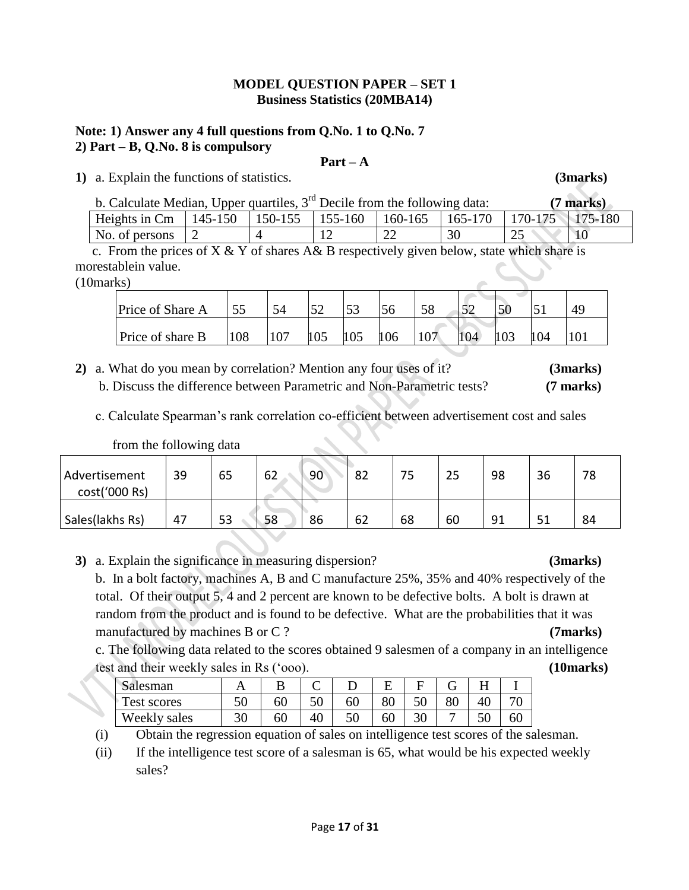### **MODEL QUESTION PAPER – SET 1 Business Statistics (20MBA14)**

### **Note: 1) Answer any 4 full questions from Q.No. 1 to Q.No. 7 2) Part – B, Q.No. 8 is compulsory**

#### **Part – A**

**1)** a. Explain the functions of statistics. **(3marks)**

| b. Calculate Median, Upper quartiles, $3rd$ Decile from the following data:         |  |  |    |    | $(7$ marks) |
|-------------------------------------------------------------------------------------|--|--|----|----|-------------|
| Heights in Cm   145-150   150-155   155-160   160-165   165-170   170-175   175-180 |  |  |    |    |             |
| No. of persons $\vert 2 \vert$                                                      |  |  | 30 | 25 | $\mid$ 10   |

c. From the prices of  $X & Y$  of shares  $A & B$  respectively given below, state which share is morestablein value.

(10marks)

| Price of Share A |     | - 1 | 52  | $\sim$<br>JЭ |     |    |     |     | 49 |
|------------------|-----|-----|-----|--------------|-----|----|-----|-----|----|
| Price of share B | 108 |     | 105 | 105          | 106 | 04 | 103 | 104 |    |

- **2)** a. What do you mean by correlation? Mention any four uses of it? **(3marks)** b. Discuss the difference between Parametric and Non-Parametric tests? **(7 marks)**
	- c. Calculate Spearman's rank correlation co-efficient between advertisement cost and sales

| $110111$ the TOHO $\theta$ the Gata |    |    |    |    |    |        |           |    |    |    |
|-------------------------------------|----|----|----|----|----|--------|-----------|----|----|----|
| Advertisement<br>cost('000 Rs)      | 39 | 65 | 62 | 90 | ٥۷ | ᄀ<br>ب | n r<br>رے | 98 | 36 | 78 |
|                                     |    |    |    |    |    |        |           |    |    |    |

from the following data

|  | 3) a. Explain the significance in measuring dispersion? |  |  | (3 marks) |
|--|---------------------------------------------------------|--|--|-----------|
|--|---------------------------------------------------------|--|--|-----------|

 b. In a bolt factory, machines A, B and C manufacture 25%, 35% and 40% respectively of the total. Of their output 5, 4 and 2 percent are known to be defective bolts. A bolt is drawn at random from the product and is found to be defective. What are the probabilities that it was manufactured by machines B or C? (7marks)

c. The following data related to the scores obtained 9 salesmen of a company in an intelligence test and their weekly sales in Rs ('ooo). **(10marks)**

| $\sim$<br>Salesman | $\blacksquare$ |    |          |     |        |    |          |     |    |
|--------------------|----------------|----|----------|-----|--------|----|----------|-----|----|
| m<br>lest scores   | <∩<br>υU       | 60 | cΛ<br>JU | 60  | $80\,$ | ◡  | o∩<br>ου |     |    |
| Weekly .<br>sales  | 20<br>υU       | 60 | 40       | IJΩ | 60     | υv |          | IJΩ | 60 |

(i) Obtain the regression equation of sales on intelligence test scores of the salesman.

(ii) If the intelligence test score of a salesman is 65, what would be his expected weekly sales?

Sales(lakhs Rs) 47 53 58 86 62 68 60 91 51 84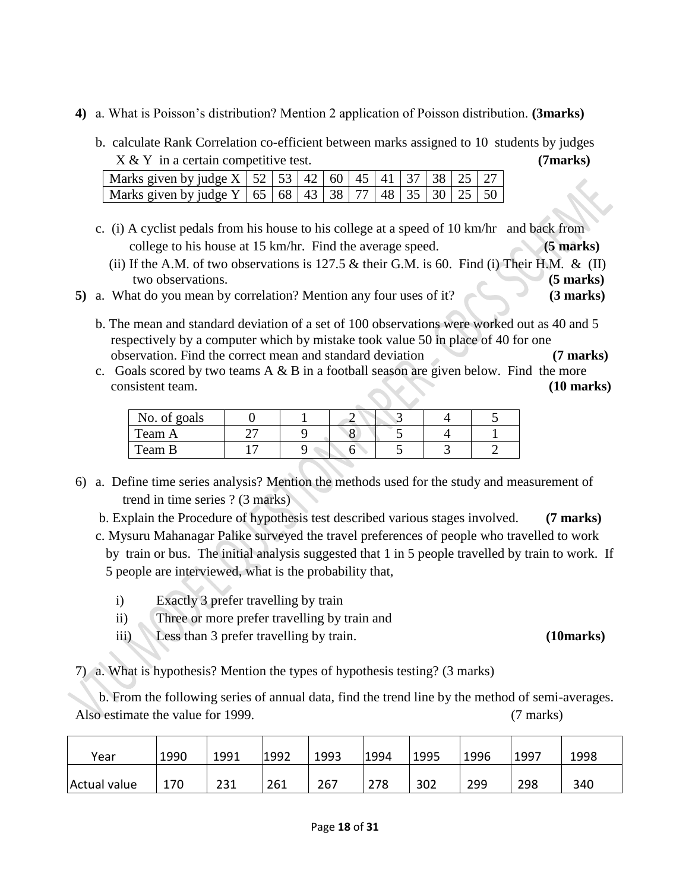- **4)** a. What is Poisson's distribution? Mention 2 application of Poisson distribution. **(3marks)**
	- b. calculate Rank Correlation co-efficient between marks assigned to 10 students by judges X & Y in a certain competitive test. **(7marks)**

| Marks given by judge X   52   53   42   60   $\overline{45}$   41   37   38   25   27 |  |  |  |  |  |
|---------------------------------------------------------------------------------------|--|--|--|--|--|
| Marks given by judge Y   65   68   43   38   77   48   35   30   25   50              |  |  |  |  |  |

- c. (i) A cyclist pedals from his house to his college at a speed of 10 km/hr and back from college to his house at 15 km/hr. Find the average speed. **(5 marks)**
	- (ii) If the A.M. of two observations is 127.5  $\&$  their G.M. is 60. Find (i) Their H.M.  $\&$  (II) two observations. **(5 marks)**
- **5)** a. What do you mean by correlation? Mention any four uses of it? **(3 marks)**
	- b. The mean and standard deviation of a set of 100 observations were worked out as 40 and 5 respectively by a computer which by mistake took value 50 in place of 40 for one observation. Find the correct mean and standard deviation **(7 marks)**
	- c. Goals scored by two teams  $A \& B$  in a football season are given below. Find the more consistent team. **(10 marks)**

| No. of goals |  |  |  |
|--------------|--|--|--|
| Team A       |  |  |  |
| Team B       |  |  |  |
|              |  |  |  |

- 6) a. Define time series analysis? Mention the methods used for the study and measurement of trend in time series ? (3 marks)
	- b. Explain the Procedure of hypothesis test described various stages involved. **(7 marks)**
	- c. Mysuru Mahanagar Palike surveyed the travel preferences of people who travelled to work by train or bus. The initial analysis suggested that 1 in 5 people travelled by train to work. If 5 people are interviewed, what is the probability that,
		- i) Exactly 3 prefer travelling by train
		- ii) Three or more prefer travelling by train and
		- iii) Less than 3 prefer travelling by train. **(10marks)**

7) a. What is hypothesis? Mention the types of hypothesis testing? (3 marks)

 b. From the following series of annual data, find the trend line by the method of semi-averages. Also estimate the value for 1999. (7 marks)

| Year         | 1990 | 1991 | 1992 | 1993 | 1994 | 1995 | 1996 | 1997 | 1998 |
|--------------|------|------|------|------|------|------|------|------|------|
| Actual value | 170  | 231  | 261  | 267  | 278  | 302  | 299  | 298  | 340  |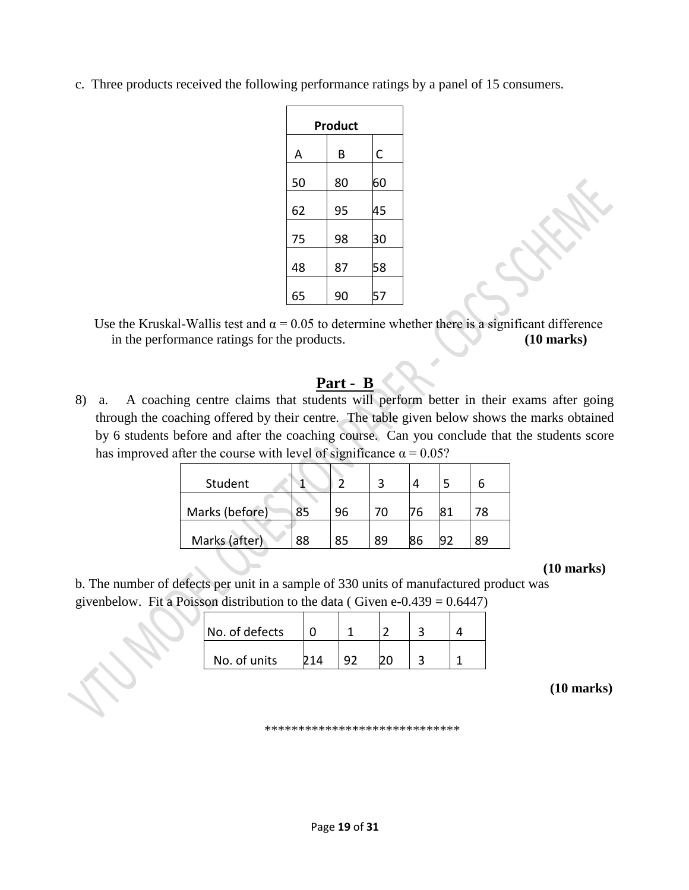c. Three products received the following performance ratings by a panel of 15 consumers.

|    | Product |    |
|----|---------|----|
| A  | В       | C  |
| 50 | 80      | 60 |
| 62 | 95      | 45 |
| 75 | 98      | 30 |
| 48 | 87      | 58 |
| 65 | 90      | 57 |

Use the Kruskal-Wallis test and  $\alpha = 0.05$  to determine whether there is a significant difference in the performance ratings for the products. **(10 marks)**

# **Part - B**

J.

8) a. A coaching centre claims that students will perform better in their exams after going through the coaching offered by their centre. The table given below shows the marks obtained by 6 students before and after the coaching course. Can you conclude that the students score has improved after the course with level of significance  $\alpha = 0.05$ ?

| Student        |    |    |    |    |    |
|----------------|----|----|----|----|----|
| Marks (before) | 85 | 96 |    | 76 | 78 |
| Marks (after)  | 88 | 85 | 89 | 86 | 89 |

 **(10 marks)**

b. The number of defects per unit in a sample of 330 units of manufactured product was givenbelow. Fit a Poisson distribution to the data ( Given  $e$ -0.439 = 0.6447)

| No. of defects |      |  |  |
|----------------|------|--|--|
| No. of units   | 71 A |  |  |

**(10 marks)**

\*\*\*\*\*\*\*\*\*\*\*\*\*\*\*\*\*\*\*\*\*\*\*\*\*\*\*\*\*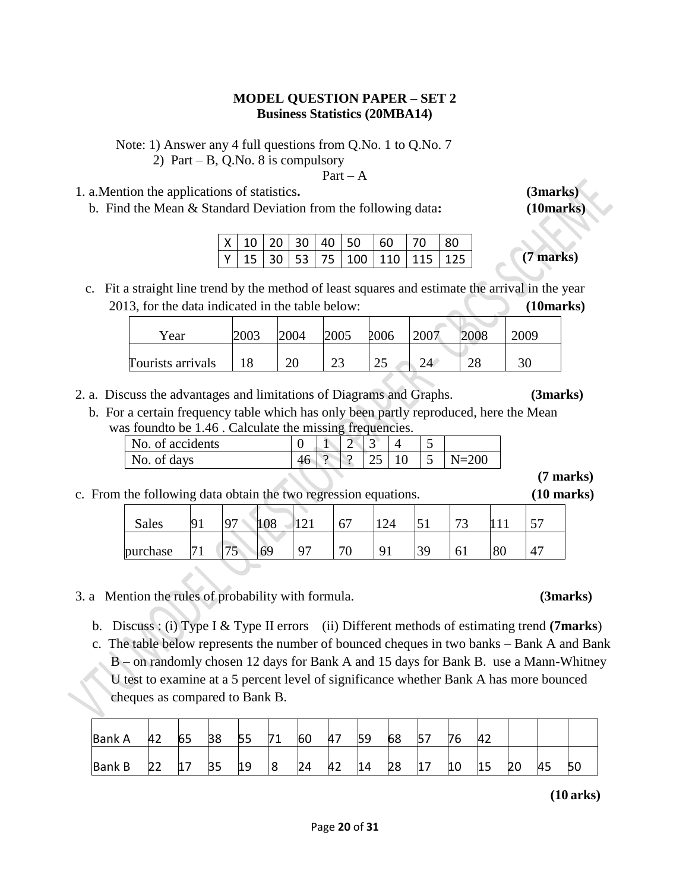### **MODEL QUESTION PAPER – SET 2 Business Statistics (20MBA14)**

Note: 1) Answer any 4 full questions from Q.No. 1 to Q.No. 7

2) Part – B, Q.No. 8 is compulsory

 $Part - A$ 

- 1. a.Mention the applications of statistics**. (3marks)**
	- b. Find the Mean & Standard Deviation from the following data**: (10marks)**

|  |  | $X$ 10 20 30 40 50 60 70 80                     |  |  |
|--|--|-------------------------------------------------|--|--|
|  |  | $ Y $ 15   30   53   75   100   110   115   125 |  |  |

 c. Fit a straight line trend by the method of least squares and estimate the arrival in the year 2013, for the data indicated in the table below: **(10marks)**

| Year              | 2003 | 2004     | 2005    | 2006 | 2007 | 2008     | 2009 |
|-------------------|------|----------|---------|------|------|----------|------|
| Tourists arrivals |      | or<br>∠∪ | ີ<br>رے | رے   | າ 1  | ററ<br>∠∪ | 30   |

- 2. a. Discuss the advantages and limitations of Diagrams and Graphs. **(3marks)**
	- b. For a certain frequency table which has only been partly reproduced, here the Mean was found to be 1.46. Calculate the missing frequencies.

|                  |    |          | J           | $\overline{\phantom{a}}$ |    |           |
|------------------|----|----------|-------------|--------------------------|----|-----------|
| No. of accidents |    |          | $\sim$<br>∽ |                          |    |           |
| No. of days      | 46 | $\Omega$ |             | رے                       | 1∪ | $N = 200$ |
|                  |    |          |             |                          |    |           |

c. From the following data obtain the two regression equations. **(10 marks)**

| <b>Sales</b> | <b>Q</b>       | 07 | 108 | $1^{\wedge}$<br>+ ← + | 67      | $1 \cap 1$<br>∠⊣     | −<br>ـد آب | $\overline{\phantom{a}}$<br>້ |    | $\overline{\phantom{a}}$<br>$\overline{\phantom{a}}$ |
|--------------|----------------|----|-----|-----------------------|---------|----------------------|------------|-------------------------------|----|------------------------------------------------------|
| purchase     | $\overline{ }$ | ັ  | 69  | Q <sub>7</sub>        | 70<br>U | $\mathbf{Q}^{\star}$ | 39         | 0 <sub>1</sub>                | 80 | $\overline{a}$                                       |

- 3. a Mention the rules of probability with formula. **(3marks)**
	- b. Discuss : (i) Type I & Type II errors (ii) Different methods of estimating trend **(7marks**)
	- c. The table below represents the number of bounced cheques in two banks Bank A and Bank B – on randomly chosen 12 days for Bank A and 15 days for Bank B. use a Mann-Whitney U test to examine at a 5 percent level of significance whether Bank A has more bounced cheques as compared to Bank B.

| <b>Bank A</b> | 42 | 65 | 38 | 55 | 71 | 60 | 47 | 59 | 68 | 76 | 42 |    |    |    |
|---------------|----|----|----|----|----|----|----|----|----|----|----|----|----|----|
| <b>Bank B</b> |    | 17 | 35 | 19 |    | 24 | 42 | 14 | 28 | 10 | 15 | 20 | 45 | 50 |

**(10 arks)**

**(7 marks)**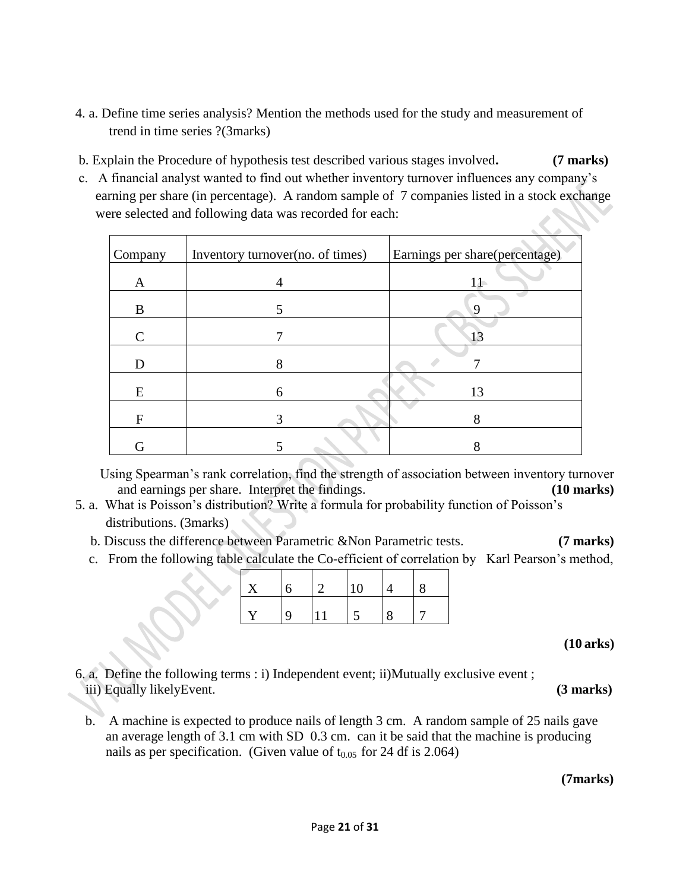- 4. a. Define time series analysis? Mention the methods used for the study and measurement of trend in time series ?(3marks)
- b. Explain the Procedure of hypothesis test described various stages involved**. (7 marks)**
- c. A financial analyst wanted to find out whether inventory turnover influences any company's earning per share (in percentage). A random sample of 7 companies listed in a stock exchange were selected and following data was recorded for each:

| Company | Inventory turnover (no. of times) | Earnings per share(percentage) |
|---------|-----------------------------------|--------------------------------|
| A       | $\overline{4}$                    | $11 -$                         |
| B       |                                   | $\mathbf Q$                    |
|         |                                   | 13                             |
| D       | 8                                 |                                |
| E       | 6                                 | 13                             |
| F       |                                   |                                |
|         |                                   |                                |

Using Spearman's rank correlation, find the strength of association between inventory turnover and earnings per share. Interpret the findings. **(10 marks)**

- 5. a. What is Poisson's distribution? Write a formula for probability function of Poisson's distributions. (3marks)
	- b. Discuss the difference between Parametric &Non Parametric tests. **(7 marks)**
	- c. From the following table calculate the Co-efficient of correlation by Karl Pearson's method,

| $\mathbf{Y}$ | $\mathcal{D}$ |  |  |
|--------------|---------------|--|--|
| V            |               |  |  |

**(10 arks)**

6. a. Define the following terms : i) Independent event; ii)Mutually exclusive event ; iii) Equally likelyEvent. **(3 marks)**

 b. A machine is expected to produce nails of length 3 cm. A random sample of 25 nails gave an average length of 3.1 cm with SD 0.3 cm. can it be said that the machine is producing nails as per specification. (Given value of  $t_{0.05}$  for 24 df is 2.064)

 **(7marks)**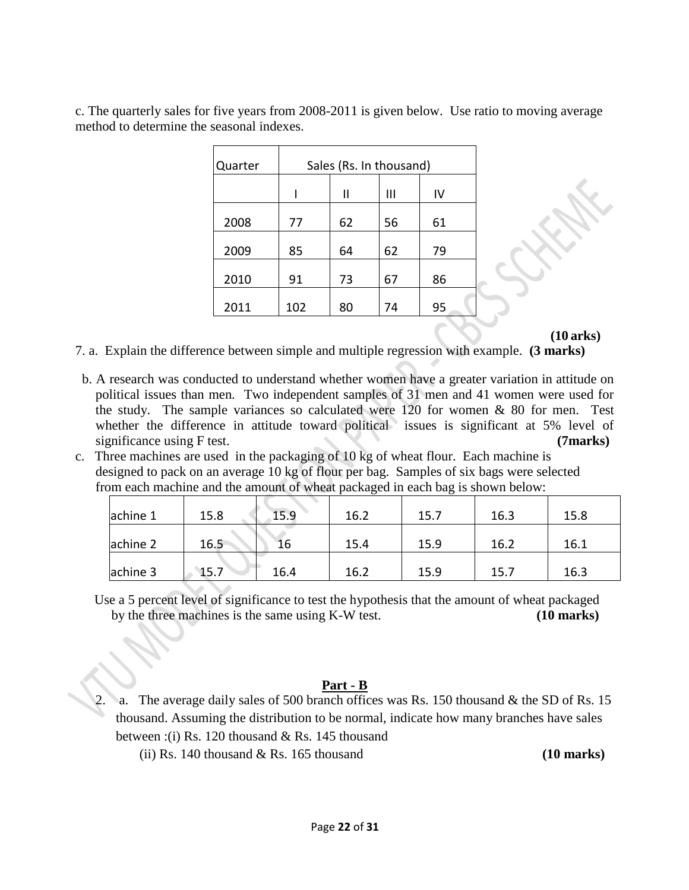c. The quarterly sales for five years from 2008-2011 is given below. Use ratio to moving average method to determine the seasonal indexes.

| Quarter | Sales (Rs. In thousand) |    |    |    |  |  |  |  |
|---------|-------------------------|----|----|----|--|--|--|--|
|         |                         | Ш  | Ш  | IV |  |  |  |  |
| 2008    | 77                      | 62 | 56 | 61 |  |  |  |  |
| 2009    | 85                      | 64 | 62 | 79 |  |  |  |  |
| 2010    | 91                      | 73 | 67 | 86 |  |  |  |  |
| 2011    | 102                     | 80 | 74 | 95 |  |  |  |  |

**(10 arks)**

7. a. Explain the difference between simple and multiple regression with example. **(3 marks)**

- b. A research was conducted to understand whether women have a greater variation in attitude on political issues than men. Two independent samples of 31 men and 41 women were used for the study. The sample variances so calculated were  $120$  for women  $\&$  80 for men. Test whether the difference in attitude toward political issues is significant at 5% level of significance using F test. **(7marks) (7marks)**
- c. Three machines are used in the packaging of 10 kg of wheat flour. Each machine is designed to pack on an average 10 kg of flour per bag. Samples of six bags were selected from each machine and the amount of wheat packaged in each bag is shown below:

| achine 1 | 15.8 | 15.9 | 16.2 | 15.7 | 16.3 | 15.8 |
|----------|------|------|------|------|------|------|
| achine 2 | 16.5 | 16   | 15.4 | 15.9 | 16.2 | 16.1 |
| achine 3 | 15.7 | 16.4 | 16.2 | 15.9 | 15.7 | 16.3 |

Use a 5 percent level of significance to test the hypothesis that the amount of wheat packaged by the three machines is the same using K-W test. **(10 marks)**

## **Part - B**

- a. The average daily sales of 500 branch offices was Rs. 150 thousand  $\&$  the SD of Rs. 15 thousand. Assuming the distribution to be normal, indicate how many branches have sales between :(i) Rs. 120 thousand & Rs. 145 thousand
	- (ii) Rs. 140 thousand & Rs. 165 thousand **(10 marks)**